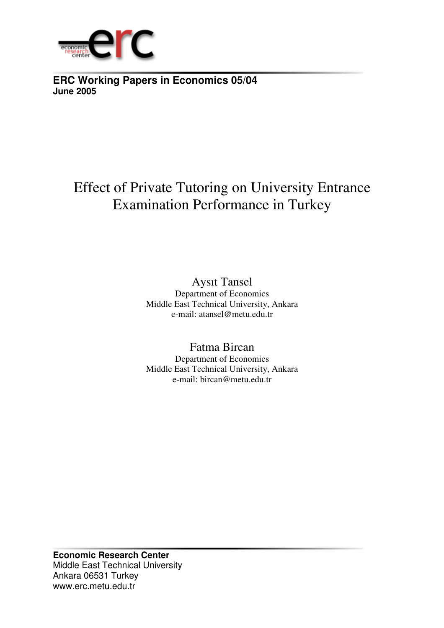

**ERC Working Papers in Economics 05/04 June 2005**

# Effect of Private Tutoring on University Entrance Examination Performance in Turkey

Aysıt Tansel Department of Economics Middle East Technical University, Ankara e-mail: atansel@metu.edu.tr

Fatma Bircan Department of Economics Middle East Technical University, Ankara e-mail: bircan@metu.edu.tr

**Economic Research Center** Middle East Technical University Ankara 06531 Turkey www.erc.metu.edu.tr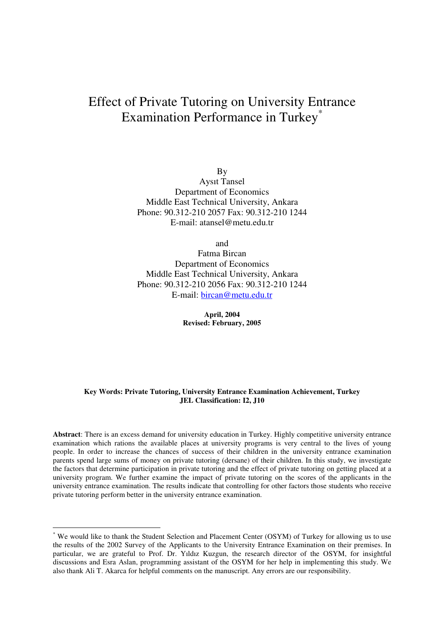# Effect of Private Tutoring on University Entrance Examination Performance in Turkey \*

By Aysıt Tansel Department of Economics Middle East Technical University, Ankara Phone: 90.312-210 2057 Fax: 90.312-210 1244 E-mail: atansel@metu.edu.tr

and

Fatma Bircan Department of Economics Middle East Technical University, Ankara Phone: 90.312-210 2056 Fax: 90.312-210 1244 E-mail: bircan@metu.edu.tr

> **April, 2004 Revised: February, 2005**

#### **Key Words: Private Tutoring, University Entrance Examination Achievement, Turkey JEL Classification: I2, J10**

**Abstract**: There is an excess demand for university education in Turkey. Highly competitive university entrance examination which rations the available places at university programs is very central to the lives of young people. In order to increase the chances of success of their children in the university entrance examination parents spend large sums of money on private tutoring (dersane) of their children. In this study, we investigate the factors that determine participation in private tutoring and the effect of private tutoring on getting placed at a university program. We further examine the impact of private tutoring on the scores of the applicants in the university entrance examination. The results indicate that controlling for other factors those students who receive private tutoring perform better in the university entrance examination.

We would like to thank the Student Selection and Placement Center (OSYM) of Turkey for allowing us to use the results of the 2002 Survey of the Applicants to the University Entrance Examination on their premises. In particular, we are grateful to Prof. Dr. Yıldız Kuzgun, the research director of the OSYM, for insightful discussions and Esra Aslan, programming assistant of the OSYM for her help in implementing this study. We also thank Ali T. Akarca for helpful comments on the manuscript. Any errors are our responsibility.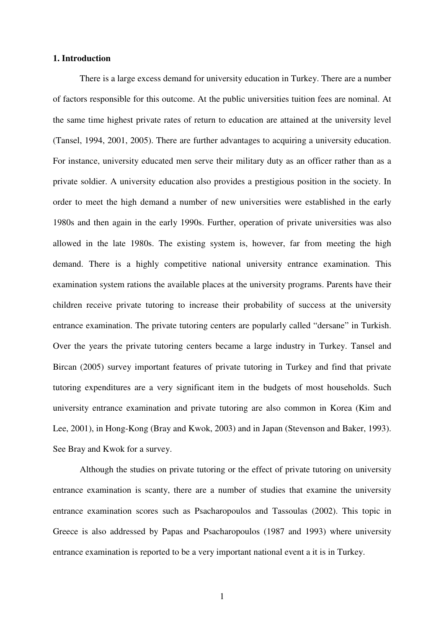#### **1. Introduction**

There is a large excess demand for university education in Turkey. There are a number of factors responsible for this outcome. At the public universities tuition fees are nominal. At the same time highest private rates of return to education are attained at the university level (Tansel, 1994, 2001, 2005). There are further advantages to acquiring a university education. For instance, university educated men serve their military duty as an officer rather than as a private soldier. A university education also provides a prestigious position in the society. In order to meet the high demand a number of new universities were established in the early 1980s and then again in the early 1990s. Further, operation of private universities was also allowed in the late 1980s. The existing system is, however, far from meeting the high demand. There is a highly competitive national university entrance examination. This examination system rations the available places at the university programs. Parents have their children receive private tutoring to increase their probability of success at the university entrance examination. The private tutoring centers are popularly called "dersane" in Turkish. Over the years the private tutoring centers became a large industry in Turkey. Tansel and Bircan (2005) survey important features of private tutoring in Turkey and find that private tutoring expenditures are a very significant item in the budgets of most households. Such university entrance examination and private tutoring are also common in Korea (Kim and Lee, 2001), in Hong-Kong (Bray and Kwok, 2003) and in Japan (Stevenson and Baker, 1993). See Bray and Kwok for a survey.

Although the studies on private tutoring or the effect of private tutoring on university entrance examination is scanty, there are a number of studies that examine the university entrance examination scores such as Psacharopoulos and Tassoulas (2002). This topic in Greece is also addressed by Papas and Psacharopoulos (1987 and 1993) where university entrance examination is reported to be a very important national event a it is in Turkey.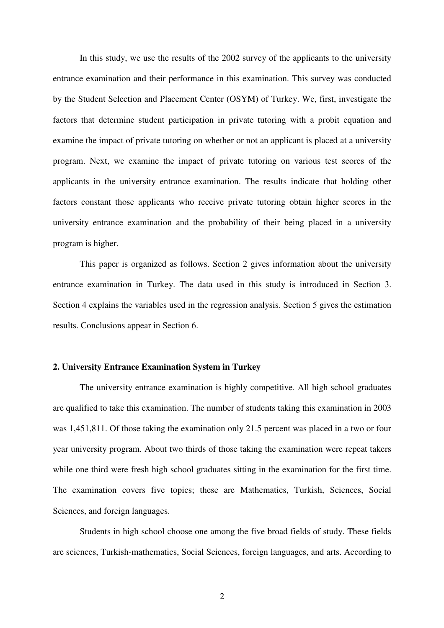In this study, we use the results of the 2002 survey of the applicants to the university entrance examination and their performance in this examination. This survey was conducted by the Student Selection and Placement Center (OSYM) of Turkey. We, first, investigate the factors that determine student participation in private tutoring with a probit equation and examine the impact of private tutoring on whether or not an applicant is placed at a university program. Next, we examine the impact of private tutoring on various test scores of the applicants in the university entrance examination. The results indicate that holding other factors constant those applicants who receive private tutoring obtain higher scores in the university entrance examination and the probability of their being placed in a university program is higher.

This paper is organized as follows. Section 2 gives information about the university entrance examination in Turkey. The data used in this study is introduced in Section 3. Section 4 explains the variables used in the regression analysis. Section 5 gives the estimation results. Conclusions appear in Section 6.

#### **2. University Entrance Examination System in Turkey**

The university entrance examination is highly competitive. All high school graduates are qualified to take this examination. The number of students taking this examination in 2003 was 1,451,811. Of those taking the examination only 21.5 percent was placed in a two or four year university program. About two thirds of those taking the examination were repeat takers while one third were fresh high school graduates sitting in the examination for the first time. The examination covers five topics; these are Mathematics, Turkish, Sciences, Social Sciences, and foreign languages.

Students in high school choose one among the five broad fields of study. These fields are sciences, Turkish-mathematics, Social Sciences, foreign languages, and arts. According to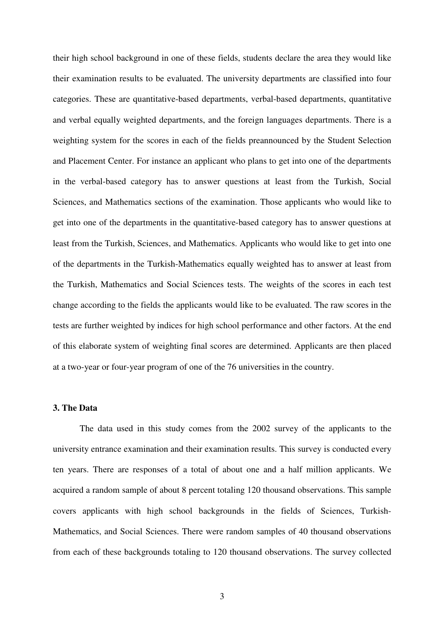their high school background in one of these fields, students declare the area they would like their examination results to be evaluated. The university departments are classified into four categories. These are quantitative-based departments, verbal-based departments, quantitative and verbal equally weighted departments, and the foreign languages departments. There is a weighting system for the scores in each of the fields preannounced by the Student Selection and Placement Center. For instance an applicant who plans to get into one of the departments in the verbal-based category has to answer questions at least from the Turkish, Social Sciences, and Mathematics sections of the examination. Those applicants who would like to get into one of the departments in the quantitative-based category has to answer questions at least from the Turkish, Sciences, and Mathematics. Applicants who would like to get into one of the departments in the Turkish-Mathematics equally weighted has to answer at least from the Turkish, Mathematics and Social Sciences tests. The weights of the scores in each test change according to the fields the applicants would like to be evaluated. The raw scores in the tests are further weighted by indices for high school performance and other factors. At the end of this elaborate system of weighting final scores are determined. Applicants are then placed at a two-year or four-year program of one of the 76 universities in the country.

### **3. The Data**

The data used in this study comes from the 2002 survey of the applicants to the university entrance examination and their examination results. This survey is conducted every ten years. There are responses of a total of about one and a half million applicants. We acquired a random sample of about 8 percent totaling 120 thousand observations. This sample covers applicants with high school backgrounds in the fields of Sciences, Turkish-Mathematics, and Social Sciences. There were random samples of 40 thousand observations from each of these backgrounds totaling to 120 thousand observations. The survey collected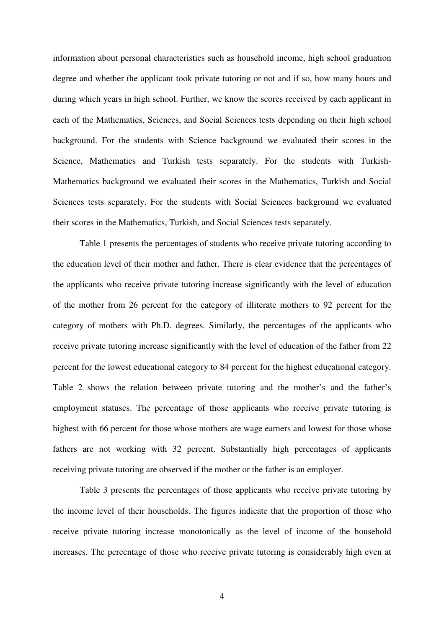information about personal characteristics such as household income, high school graduation degree and whether the applicant took private tutoring or not and if so, how many hours and during which years in high school. Further, we know the scores received by each applicant in each of the Mathematics, Sciences, and Social Sciences tests depending on their high school background. For the students with Science background we evaluated their scores in the Science, Mathematics and Turkish tests separately. For the students with Turkish-Mathematics background we evaluated their scores in the Mathematics, Turkish and Social Sciences tests separately. For the students with Social Sciences background we evaluated their scores in the Mathematics, Turkish, and Social Sciences tests separately.

Table 1 presents the percentages of students who receive private tutoring according to the education level of their mother and father. There is clear evidence that the percentages of the applicants who receive private tutoring increase significantly with the level of education of the mother from 26 percent for the category of illiterate mothers to 92 percent for the category of mothers with Ph.D. degrees. Similarly, the percentages of the applicants who receive private tutoring increase significantly with the level of education of the father from 22 percent for the lowest educational category to 84 percent for the highest educational category. Table 2 shows the relation between private tutoring and the mother's and the father's employment statuses. The percentage of those applicants who receive private tutoring is highest with 66 percent for those whose mothers are wage earners and lowest for those whose fathers are not working with 32 percent. Substantially high percentages of applicants receiving private tutoring are observed if the mother or the father is an employer.

Table 3 presents the percentages of those applicants who receive private tutoring by the income level of their households. The figures indicate that the proportion of those who receive private tutoring increase monotonically as the level of income of the household increases. The percentage of those who receive private tutoring is considerably high even at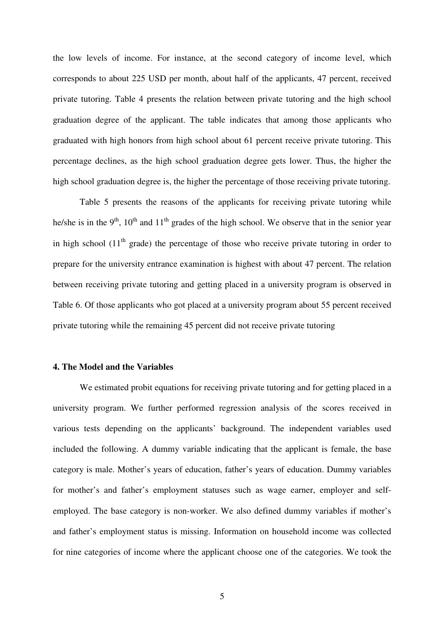the low levels of income. For instance, at the second category of income level, which corresponds to about 225 USD per month, about half of the applicants, 47 percent, received private tutoring. Table 4 presents the relation between private tutoring and the high school graduation degree of the applicant. The table indicates that among those applicants who graduated with high honors from high school about 61 percent receive private tutoring. This percentage declines, as the high school graduation degree gets lower. Thus, the higher the high school graduation degree is, the higher the percentage of those receiving private tutoring.

Table 5 presents the reasons of the applicants for receiving private tutoring while he/she is in the 9<sup>th</sup>, 10<sup>th</sup> and 11<sup>th</sup> grades of the high school. We observe that in the senior year in high school  $(11<sup>th</sup>$  grade) the percentage of those who receive private tutoring in order to prepare for the university entrance examination is highest with about 47 percent. The relation between receiving private tutoring and getting placed in a university program is observed in Table 6. Of those applicants who got placed at a university program about 55 percent received private tutoring while the remaining 45 percent did not receive private tutoring

#### **4. The Model and the Variables**

We estimated probit equations for receiving private tutoring and for getting placed in a university program. We further performed regression analysis of the scores received in various tests depending on the applicants' background. The independent variables used included the following. A dummy variable indicating that the applicant is female, the base category is male. Mother's years of education, father's years of education. Dummy variables for mother's and father's employment statuses such as wage earner, employer and selfemployed. The base category is non-worker. We also defined dummy variables if mother's and father's employment status is missing. Information on household income was collected for nine categories of income where the applicant choose one of the categories. We took the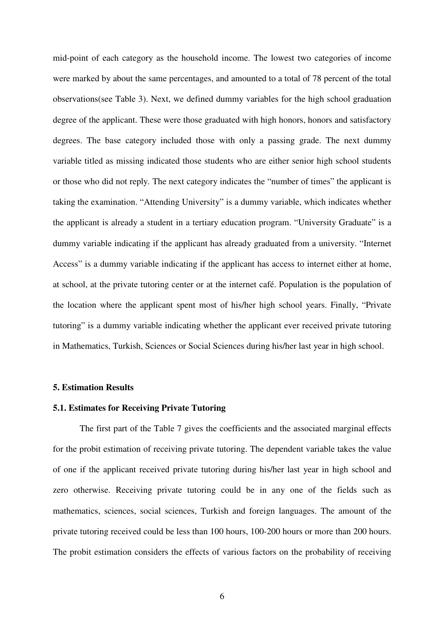mid-point of each category as the household income. The lowest two categories of income were marked by about the same percentages, and amounted to a total of 78 percent of the total observations(see Table 3). Next, we defined dummy variables for the high school graduation degree of the applicant. These were those graduated with high honors, honors and satisfactory degrees. The base category included those with only a passing grade. The next dummy variable titled as missing indicated those students who are either senior high school students or those who did not reply. The next category indicates the "number of times" the applicant is taking the examination. "Attending University" is a dummy variable, which indicates whether the applicant is already a student in a tertiary education program. "University Graduate" is a dummy variable indicating if the applicant has already graduated from a university. "Internet Access" is a dummy variable indicating if the applicant has access to internet either at home, at school, at the private tutoring center or at the internet café. Population is the population of the location where the applicant spent most of his/her high school years. Finally, "Private tutoring" is a dummy variable indicating whether the applicant ever received private tutoring in Mathematics, Turkish, Sciences or Social Sciences during his/her last year in high school.

### **5. Estimation Results**

### **5.1. Estimates for Receiving Private Tutoring**

The first part of the Table 7 gives the coefficients and the associated marginal effects for the probit estimation of receiving private tutoring. The dependent variable takes the value of one if the applicant received private tutoring during his/her last year in high school and zero otherwise. Receiving private tutoring could be in any one of the fields such as mathematics, sciences, social sciences, Turkish and foreign languages. The amount of the private tutoring received could be less than 100 hours, 100-200 hours or more than 200 hours. The probit estimation considers the effects of various factors on the probability of receiving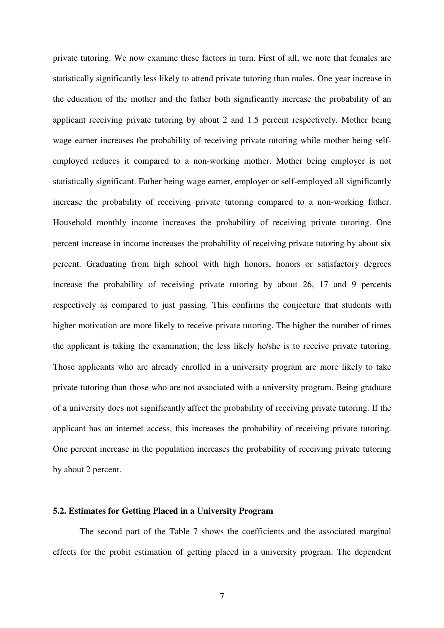private tutoring. We now examine these factors in turn. First of all, we note that females are statistically significantly less likely to attend private tutoring than males. One year increase in the education of the mother and the father both significantly increase the probability of an applicant receiving private tutoring by about 2 and 1.5 percent respectively. Mother being wage earner increases the probability of receiving private tutoring while mother being selfemployed reduces it compared to a non-working mother. Mother being employer is not statistically significant. Father being wage earner, employer or self-employed all significantly increase the probability of receiving private tutoring compared to a non-working father. Household monthly income increases the probability of receiving private tutoring. One percent increase in income increases the probability of receiving private tutoring by about six percent. Graduating from high school with high honors, honors or satisfactory degrees increase the probability of receiving private tutoring by about 26, 17 and 9 percents respectively as compared to just passing. This confirms the conjecture that students with higher motivation are more likely to receive private tutoring. The higher the number of times the applicant is taking the examination; the less likely he/she is to receive private tutoring. Those applicants who are already enrolled in a university program are more likely to take private tutoring than those who are not associated with a university program. Being graduate of a university does not significantly affect the probability of receiving private tutoring. If the applicant has an internet access, this increases the probability of receiving private tutoring. One percent increase in the population increases the probability of receiving private tutoring by about 2 percent.

## **5.2. Estimates for Getting Placed in a University Program**

The second part of the Table 7 shows the coefficients and the associated marginal effects for the probit estimation of getting placed in a university program. The dependent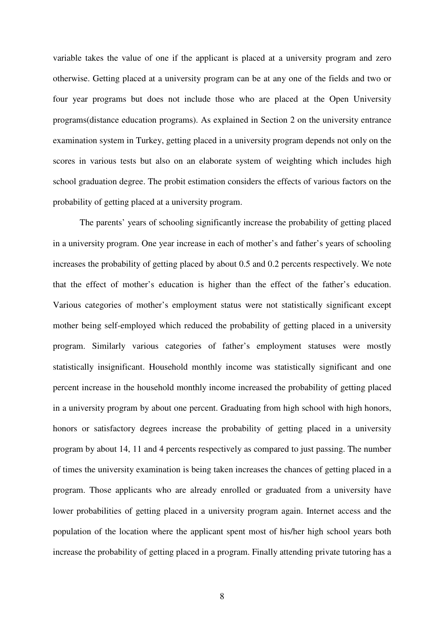variable takes the value of one if the applicant is placed at a university program and zero otherwise. Getting placed at a university program can be at any one of the fields and two or four year programs but does not include those who are placed at the Open University programs(distance education programs). As explained in Section 2 on the university entrance examination system in Turkey, getting placed in a university program depends not only on the scores in various tests but also on an elaborate system of weighting which includes high school graduation degree. The probit estimation considers the effects of various factors on the probability of getting placed at a university program.

The parents' years of schooling significantly increase the probability of getting placed in a university program. One year increase in each of mother's and father's years of schooling increases the probability of getting placed by about 0.5 and 0.2 percents respectively. We note that the effect of mother's education is higher than the effect of the father's education. Various categories of mother's employment status were not statistically significant except mother being self-employed which reduced the probability of getting placed in a university program. Similarly various categories of father's employment statuses were mostly statistically insignificant. Household monthly income was statistically significant and one percent increase in the household monthly income increased the probability of getting placed in a university program by about one percent. Graduating from high school with high honors, honors or satisfactory degrees increase the probability of getting placed in a university program by about 14, 11 and 4 percents respectively as compared to just passing. The number of times the university examination is being taken increases the chances of getting placed in a program. Those applicants who are already enrolled or graduated from a university have lower probabilities of getting placed in a university program again. Internet access and the population of the location where the applicant spent most of his/her high school years both increase the probability of getting placed in a program. Finally attending private tutoring has a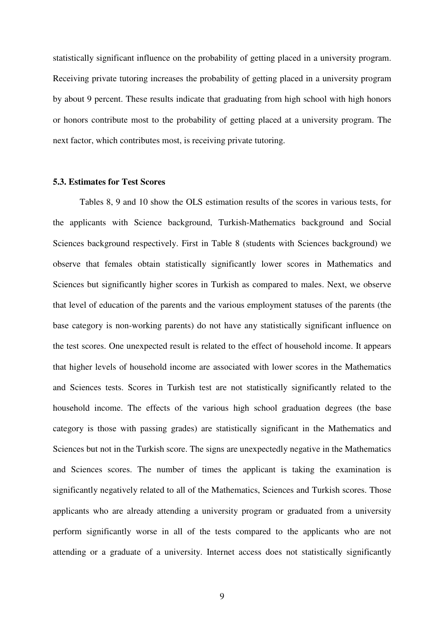statistically significant influence on the probability of getting placed in a university program. Receiving private tutoring increases the probability of getting placed in a university program by about 9 percent. These results indicate that graduating from high school with high honors or honors contribute most to the probability of getting placed at a university program. The next factor, which contributes most, is receiving private tutoring.

#### **5.3. Estimates for Test Scores**

Tables 8, 9 and 10 show the OLS estimation results of the scores in various tests, for the applicants with Science background, Turkish-Mathematics background and Social Sciences background respectively. First in Table 8 (students with Sciences background) we observe that females obtain statistically significantly lower scores in Mathematics and Sciences but significantly higher scores in Turkish as compared to males. Next, we observe that level of education of the parents and the various employment statuses of the parents (the base category is non-working parents) do not have any statistically significant influence on the test scores. One unexpected result is related to the effect of household income. It appears that higher levels of household income are associated with lower scores in the Mathematics and Sciences tests. Scores in Turkish test are not statistically significantly related to the household income. The effects of the various high school graduation degrees (the base category is those with passing grades) are statistically significant in the Mathematics and Sciences but not in the Turkish score. The signs are unexpectedly negative in the Mathematics and Sciences scores. The number of times the applicant is taking the examination is significantly negatively related to all of the Mathematics, Sciences and Turkish scores. Those applicants who are already attending a university program or graduated from a university perform significantly worse in all of the tests compared to the applicants who are not attending or a graduate of a university. Internet access does not statistically significantly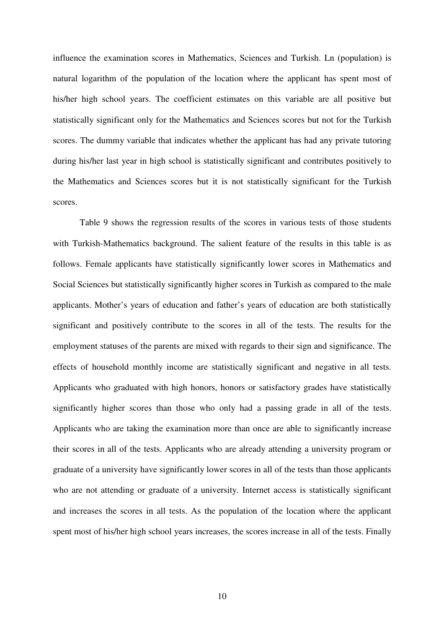influence the examination scores in Mathematics, Sciences and Turkish. Ln (population) is natural logarithm of the population of the location where the applicant has spent most of his/her high school years. The coefficient estimates on this variable are all positive but statistically significant only for the Mathematics and Sciences scores but not for the Turkish scores. The dummy variable that indicates whether the applicant has had any private tutoring during his/her last year in high school is statistically significant and contributes positively to the Mathematics and Sciences scores but it is not statistically significant for the Turkish scores.

Table 9 shows the regression results of the scores in various tests of those students with Turkish-Mathematics background. The salient feature of the results in this table is as follows. Female applicants have statistically significantly lower scores in Mathematics and Social Sciences but statistically significantly higher scores in Turkish as compared to the male applicants. Mother's years of education and father's years of education are both statistically significant and positively contribute to the scores in all of the tests. The results for the employment statuses of the parents are mixed with regards to their sign and significance. The effects of household monthly income are statistically significant and negative in all tests. Applicants who graduated with high honors, honors or satisfactory grades have statistically significantly higher scores than those who only had a passing grade in all of the tests. Applicants who are taking the examination more than once are able to significantly increase their scores in all of the tests. Applicants who are already attending a university program or graduate of a university have significantly lower scores in all of the tests than those applicants who are not attending or graduate of a university. Internet access is statistically significant and increases the scores in all tests. As the population of the location where the applicant spent most of his/her high school years increases, the scores increase in all of the tests. Finally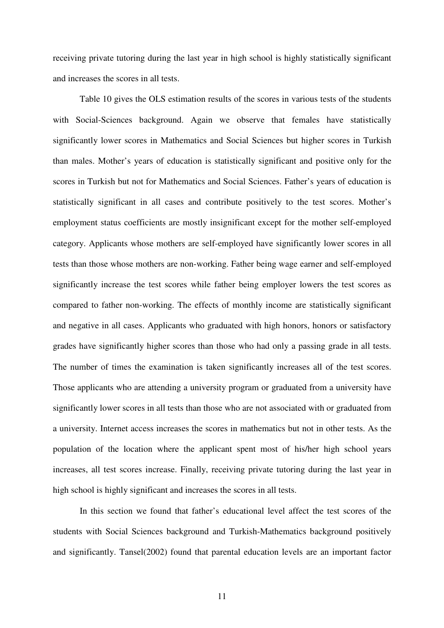receiving private tutoring during the last year in high school is highly statistically significant and increases the scores in all tests.

Table 10 gives the OLS estimation results of the scores in various tests of the students with Social-Sciences background. Again we observe that females have statistically significantly lower scores in Mathematics and Social Sciences but higher scores in Turkish than males. Mother's years of education is statistically significant and positive only for the scores in Turkish but not for Mathematics and Social Sciences. Father's years of education is statistically significant in all cases and contribute positively to the test scores. Mother's employment status coefficients are mostly insignificant except for the mother self-employed category. Applicants whose mothers are self-employed have significantly lower scores in all tests than those whose mothers are non-working. Father being wage earner and self-employed significantly increase the test scores while father being employer lowers the test scores as compared to father non-working. The effects of monthly income are statistically significant and negative in all cases. Applicants who graduated with high honors, honors or satisfactory grades have significantly higher scores than those who had only a passing grade in all tests. The number of times the examination is taken significantly increases all of the test scores. Those applicants who are attending a university program or graduated from a university have significantly lower scores in all tests than those who are not associated with or graduated from a university. Internet access increases the scores in mathematics but not in other tests. As the population of the location where the applicant spent most of his/her high school years increases, all test scores increase. Finally, receiving private tutoring during the last year in high school is highly significant and increases the scores in all tests.

In this section we found that father's educational level affect the test scores of the students with Social Sciences background and Turkish-Mathematics background positively and significantly. Tansel(2002) found that parental education levels are an important factor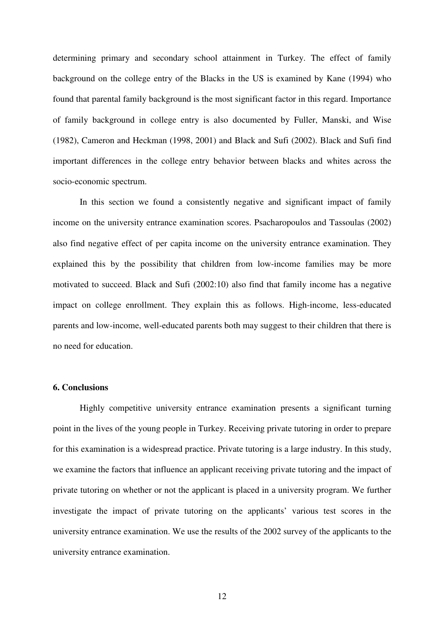determining primary and secondary school attainment in Turkey. The effect of family background on the college entry of the Blacks in the US is examined by Kane (1994) who found that parental family background is the most significant factor in this regard. Importance of family background in college entry is also documented by Fuller, Manski, and Wise (1982), Cameron and Heckman (1998, 2001) and Black and Sufi (2002). Black and Sufi find important differences in the college entry behavior between blacks and whites across the socio-economic spectrum.

In this section we found a consistently negative and significant impact of family income on the university entrance examination scores. Psacharopoulos and Tassoulas (2002) also find negative effect of per capita income on the university entrance examination. They explained this by the possibility that children from low-income families may be more motivated to succeed. Black and Sufi (2002:10) also find that family income has a negative impact on college enrollment. They explain this as follows. High-income, less-educated parents and low-income, well-educated parents both may suggest to their children that there is no need for education.

# **6. Conclusions**

Highly competitive university entrance examination presents a significant turning point in the lives of the young people in Turkey. Receiving private tutoring in order to prepare for this examination is a widespread practice. Private tutoring is a large industry. In this study, we examine the factors that influence an applicant receiving private tutoring and the impact of private tutoring on whether or not the applicant is placed in a university program. We further investigate the impact of private tutoring on the applicants' various test scores in the university entrance examination. We use the results of the 2002 survey of the applicants to the university entrance examination.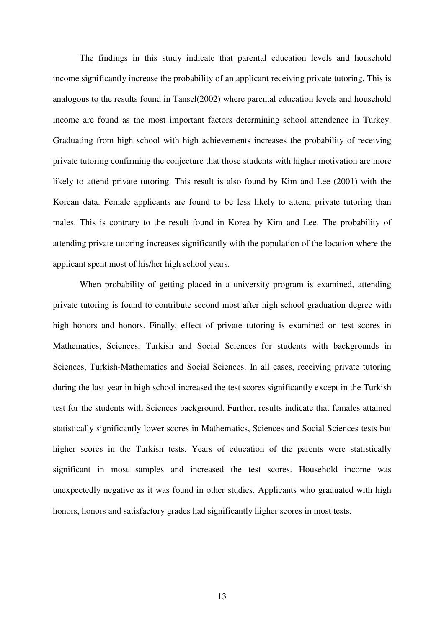The findings in this study indicate that parental education levels and household income significantly increase the probability of an applicant receiving private tutoring. This is analogous to the results found in Tansel(2002) where parental education levels and household income are found as the most important factors determining school attendence in Turkey. Graduating from high school with high achievements increases the probability of receiving private tutoring confirming the conjecture that those students with higher motivation are more likely to attend private tutoring. This result is also found by Kim and Lee (2001) with the Korean data. Female applicants are found to be less likely to attend private tutoring than males. This is contrary to the result found in Korea by Kim and Lee. The probability of attending private tutoring increases significantly with the population of the location where the applicant spent most of his/her high school years.

When probability of getting placed in a university program is examined, attending private tutoring is found to contribute second most after high school graduation degree with high honors and honors. Finally, effect of private tutoring is examined on test scores in Mathematics, Sciences, Turkish and Social Sciences for students with backgrounds in Sciences, Turkish-Mathematics and Social Sciences. In all cases, receiving private tutoring during the last year in high school increased the test scores significantly except in the Turkish test for the students with Sciences background. Further, results indicate that females attained statistically significantly lower scores in Mathematics, Sciences and Social Sciences tests but higher scores in the Turkish tests. Years of education of the parents were statistically significant in most samples and increased the test scores. Household income was unexpectedly negative as it was found in other studies. Applicants who graduated with high honors, honors and satisfactory grades had significantly higher scores in most tests.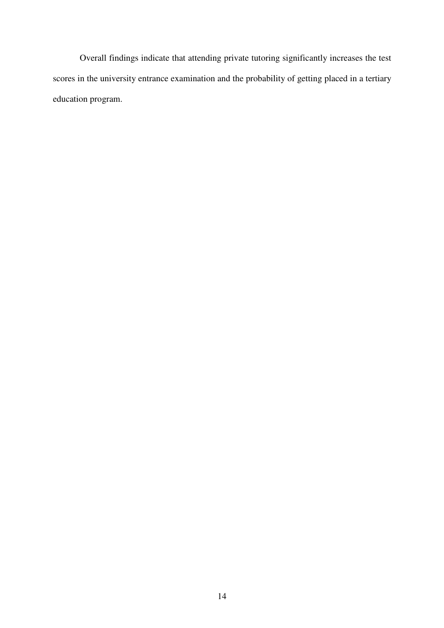Overall findings indicate that attending private tutoring significantly increases the test scores in the university entrance examination and the probability of getting placed in a tertiary education program.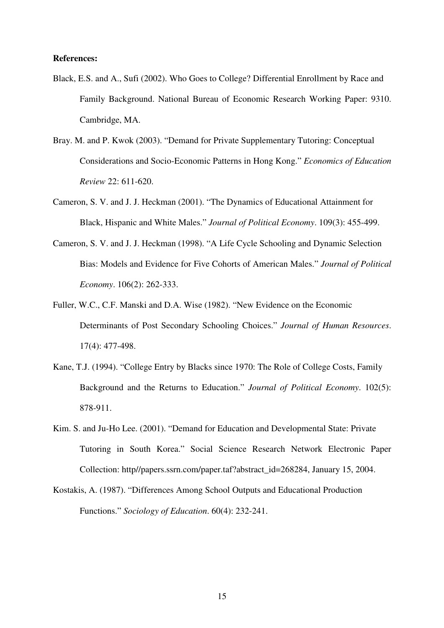#### **References:**

- Black, E.S. and A., Sufi (2002). Who Goes to College? Differential Enrollment by Race and Family Background. National Bureau of Economic Research Working Paper: 9310. Cambridge, MA.
- Bray. M. and P. Kwok (2003). "Demand for Private Supplementary Tutoring: Conceptual Considerations and Socio-Economic Patterns in Hong Kong." *Economics of Education Review* 22: 611-620.
- Cameron, S. V. and J. J. Heckman (2001). "The Dynamics of Educational Attainment for Black, Hispanic and White Males." *Journal of Political Economy*. 109(3): 455-499.
- Cameron, S. V. and J. J. Heckman (1998). "A Life Cycle Schooling and Dynamic Selection Bias: Models and Evidence for Five Cohorts of American Males." *Journal of Political Economy*. 106(2): 262-333.
- Fuller, W.C., C.F. Manski and D.A. Wise (1982). "New Evidence on the Economic Determinants of Post Secondary Schooling Choices." *Journal of Human Resources*. 17(4): 477-498.
- Kane, T.J. (1994). "College Entry by Blacks since 1970: The Role of College Costs, Family Background and the Returns to Education." *Journal of Political Economy*. 102(5): 878-911.
- Kim. S. and Ju-Ho Lee. (2001). "Demand for Education and Developmental State: Private Tutoring in South Korea." Social Science Research Network Electronic Paper Collection: http//papers.ssrn.com/paper.taf?abstract\_id=268284, January 15, 2004.
- Kostakis, A. (1987). "Differences Among School Outputs and Educational Production Functions." *Sociology of Education*. 60(4): 232-241.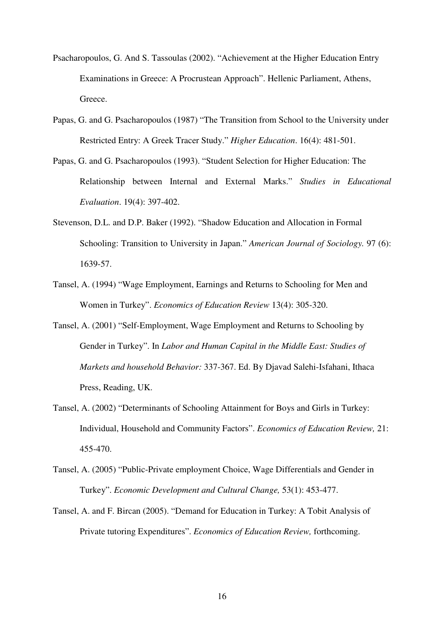- Psacharopoulos, G. And S. Tassoulas (2002). "Achievement at the Higher Education Entry Examinations in Greece: A Procrustean Approach". Hellenic Parliament, Athens, Greece.
- Papas, G. and G. Psacharopoulos (1987) "The Transition from School to the University under Restricted Entry: A Greek Tracer Study." *Higher Education*. 16(4): 481-501.
- Papas, G. and G. Psacharopoulos (1993). "Student Selection for Higher Education: The Relationship between Internal and External Marks." *Studies in Educational Evaluation*. 19(4): 397-402.
- Stevenson, D.L. and D.P. Baker (1992). "Shadow Education and Allocation in Formal Schooling: Transition to University in Japan." *American Journal of Sociology.* 97 (6): 1639-57.
- Tansel, A. (1994) "Wage Employment, Earnings and Returns to Schooling for Men and Women in Turkey". *Economics of Education Review* 13(4): 305-320.
- Tansel, A. (2001) "Self-Employment, Wage Employment and Returns to Schooling by Gender in Turkey". In *Labor and Human Capital in the Middle East: Studies of Markets and household Behavior:* 337-367. Ed. By Djavad Salehi-Isfahani, Ithaca Press, Reading, UK.
- Tansel, A. (2002) "Determinants of Schooling Attainment for Boys and Girls in Turkey: Individual, Household and Community Factors". *Economics of Education Review,* 21: 455-470.
- Tansel, A. (2005) "Public-Private employment Choice, Wage Differentials and Gender in Turkey". *Economic Development and Cultural Change,* 53(1): 453-477.
- Tansel, A. and F. Bircan (2005). "Demand for Education in Turkey: A Tobit Analysis of Private tutoring Expenditures". *Economics of Education Review,* forthcoming.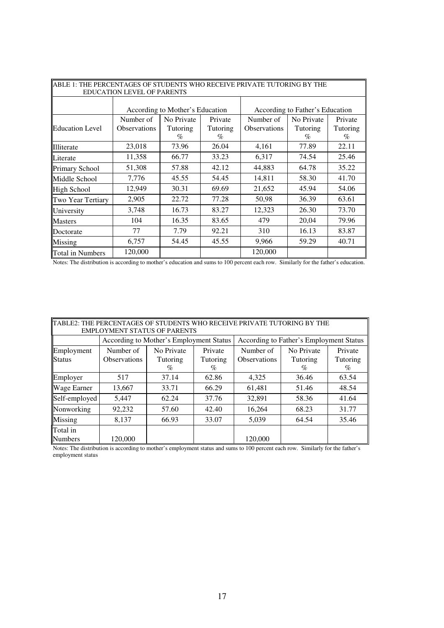| ABLE 1: THE PERCENTAGES OF STUDENTS WHO RECEIVE PRIVATE TUTORING BY THE |                                 |            |                                 |                     |            |          |
|-------------------------------------------------------------------------|---------------------------------|------------|---------------------------------|---------------------|------------|----------|
| <b>EDUCATION LEVEL OF PARENTS</b>                                       |                                 |            |                                 |                     |            |          |
|                                                                         | According to Mother's Education |            | According to Father's Education |                     |            |          |
|                                                                         | Number of                       | No Private | Private                         | Number of           | No Private | Private  |
| <b>Education Level</b>                                                  | Observations                    | Tutoring   | Tutoring                        | <b>Observations</b> | Tutoring   | Tutoring |
|                                                                         |                                 | $\%$       | %                               |                     | $\%$       | $\%$     |
| Illiterate                                                              | 23,018                          | 73.96      | 26.04                           | 4,161               | 77.89      | 22.11    |
| Literate                                                                | 11,358                          | 66.77      | 33.23                           | 6,317               | 74.54      | 25.46    |
| <b>Primary School</b>                                                   | 51,308                          | 57.88      | 42.12                           | 44,883              | 64.78      | 35.22    |
| Middle School                                                           | 7,776                           | 45.55      | 54.45                           | 14,811              | 58.30      | 41.70    |
| <b>High School</b>                                                      | 12,949                          | 30.31      | 69.69                           | 21,652              | 45.94      | 54.06    |
| Two Year Tertiary                                                       | 2,905                           | 22.72      | 77.28                           | 50,98               | 36.39      | 63.61    |
| University                                                              | 3,748                           | 16.73      | 83.27                           | 12,323              | 26.30      | 73.70    |
| <b>Masters</b>                                                          | 104                             | 16.35      | 83.65                           | 479                 | 20,04      | 79.96    |
| Doctorate                                                               | 77                              | 7.79       | 92.21                           | 310                 | 16.13      | 83.87    |
| Missing                                                                 | 6,757                           | 54.45      | 45.55                           | 9,966               | 59.29      | 40.71    |
| <b>Total in Numbers</b>                                                 | 120,000                         |            |                                 | 120,000             |            |          |

Notes: The distribution is according to mother's education and sums to 100 percent each row. Similarly for the father's education.

| TABLE2: THE PERCENTAGES OF STUDENTS WHO RECEIVE PRIVATE TUTORING BY THE<br><b>EMPLOYMENT STATUS OF PARENTS</b> |                                         |                                |                             |                                         |                                |                          |
|----------------------------------------------------------------------------------------------------------------|-----------------------------------------|--------------------------------|-----------------------------|-----------------------------------------|--------------------------------|--------------------------|
|                                                                                                                | According to Mother's Employment Status |                                |                             | According to Father's Employment Status |                                |                          |
| Employment<br><b>Status</b>                                                                                    | Number of<br><b>Observations</b>        | No Private<br>Tutoring<br>$\%$ | Private<br>Tutoring<br>$\%$ | Number of<br><b>Observations</b>        | No Private<br>Tutoring<br>$\%$ | Private<br>Tutoring<br>% |
| Employer                                                                                                       | 517                                     | 37.14                          | 62.86                       | 4,325                                   | 36.46                          | 63.54                    |
| <b>Wage Earner</b>                                                                                             | 13,667                                  | 33.71                          | 66.29                       | 61,481                                  | 51.46                          | 48.54                    |
| Self-employed                                                                                                  | 5,447                                   | 62.24                          | 37.76                       | 32,891                                  | 58.36                          | 41.64                    |
| Nonworking                                                                                                     | 92,232                                  | 57.60                          | 42.40                       | 16,264                                  | 68.23                          | 31.77                    |
| Missing                                                                                                        | 8,137                                   | 66.93                          | 33.07                       | 5,039                                   | 64.54                          | 35.46                    |
| Total in<br><b>Numbers</b>                                                                                     | 120,000                                 |                                |                             | 120,000                                 |                                |                          |

Notes: The distribution is according to mother's employment status and sums to 100 percent each row. Similarly for the father's employment status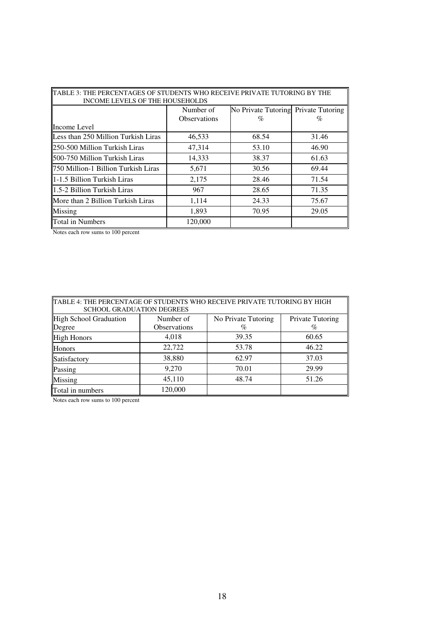| TABLE 3: THE PERCENTAGES OF STUDENTS WHO RECEIVE PRIVATE TUTORING BY THE |                     |                                      |       |  |  |
|--------------------------------------------------------------------------|---------------------|--------------------------------------|-------|--|--|
| INCOME LEVELS OF THE HOUSEHOLDS                                          |                     |                                      |       |  |  |
|                                                                          | Number of           | No Private Tutoring Private Tutoring |       |  |  |
|                                                                          | <b>Observations</b> | $\%$                                 | %     |  |  |
| Income Level                                                             |                     |                                      |       |  |  |
| Less than 250 Million Turkish Liras                                      | 46,533              | 68.54                                | 31.46 |  |  |
| 250-500 Million Turkish Liras                                            | 47,314              | 53.10                                | 46.90 |  |  |
| <b>500-750 Million Turkish Liras</b>                                     | 14,333              | 38.37                                | 61.63 |  |  |
| <b>750 Million-1 Billion Turkish Liras</b>                               | 5,671               | 30.56                                | 69.44 |  |  |
| 1-1.5 Billion Turkish Liras                                              | 2,175               | 28.46                                | 71.54 |  |  |
| 1.5-2 Billion Turkish Liras                                              | 967                 | 28.65                                | 71.35 |  |  |
| More than 2 Billion Turkish Liras                                        | 1,114               | 24.33                                | 75.67 |  |  |
| Missing                                                                  | 1,893               | 70.95                                | 29.05 |  |  |
| <b>T</b> otal in Numbers                                                 | 120,000             |                                      |       |  |  |

Notes each row sums to 100 percent

| TABLE 4: THE PERCENTAGE OF STUDENTS WHO RECEIVE PRIVATE TUTORING BY HIGH<br><b>SCHOOL GRADUATION DEGREES</b> |                                  |                             |                          |  |
|--------------------------------------------------------------------------------------------------------------|----------------------------------|-----------------------------|--------------------------|--|
| High School Graduation<br>Degree                                                                             | Number of<br><b>Observations</b> | No Private Tutoring<br>$\%$ | Private Tutoring<br>$\%$ |  |
| <b>High Honors</b>                                                                                           | 4,018                            | 39.35                       | 60.65                    |  |
| Honors                                                                                                       | 22,722                           | 53.78                       | 46.22                    |  |
| Satisfactory                                                                                                 | 38,880                           | 62.97                       | 37.03                    |  |
| Passing                                                                                                      | 9,270                            | 70.01                       | 29.99                    |  |
| Missing                                                                                                      | 45,110                           | 48.74                       | 51.26                    |  |
| Total in numbers                                                                                             | 120,000                          |                             |                          |  |

Notes each row sums to 100 percent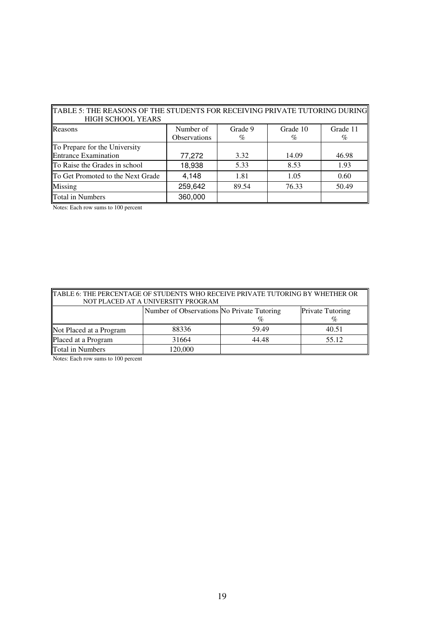| TABLE 5: THE REASONS OF THE STUDENTS FOR RECEIVING PRIVATE TUTORING DURING  <br><b>HIGH SCHOOL YEARS</b> |                     |         |          |          |  |
|----------------------------------------------------------------------------------------------------------|---------------------|---------|----------|----------|--|
| Reasons                                                                                                  | Number of           | Grade 9 | Grade 10 | Grade 11 |  |
|                                                                                                          | <b>Observations</b> | $\%$    | $\%$     | %        |  |
| To Prepare for the University                                                                            |                     |         |          |          |  |
| Entrance Examination                                                                                     | 77,272              | 3.32    | 14.09    | 46.98    |  |
| To Raise the Grades in school                                                                            | 18,938              | 5.33    | 8.53     | 1.93     |  |
| To Get Promoted to the Next Grade                                                                        | 4,148               | 1.81    | 1.05     | 0.60     |  |
| Missing                                                                                                  | 259,642             | 89.54   | 76.33    | 50.49    |  |
| <b>Total in Numbers</b>                                                                                  | 360,000             |         |          |          |  |

Notes: Each row sums to 100 percent

| TABLE 6: THE PERCENTAGE OF STUDENTS WHO RECEIVE PRIVATE TUTORING BY WHETHER OR<br>NOT PLACED AT A UNIVERSITY PROGRAM |                                                                                |       |       |  |  |  |
|----------------------------------------------------------------------------------------------------------------------|--------------------------------------------------------------------------------|-------|-------|--|--|--|
|                                                                                                                      | Number of Observations No Private Tutoring<br>Private Tutoring<br>$\%$<br>$\%$ |       |       |  |  |  |
| Not Placed at a Program                                                                                              | 88336                                                                          | 59.49 | 40.51 |  |  |  |
| Placed at a Program                                                                                                  | 31664                                                                          | 44.48 | 55.12 |  |  |  |
| Total in Numbers                                                                                                     | 120,000                                                                        |       |       |  |  |  |

Notes: Each row sums to 100 percent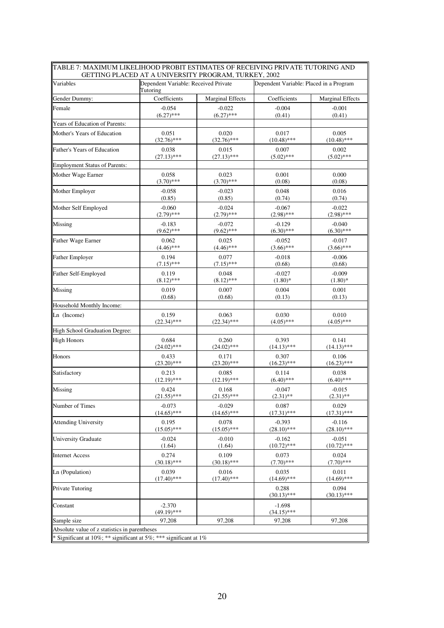| Variables                      | Dependent Variable: Received Private<br>Tutoring |                         | Dependent Variable: Placed in a Program |                         |
|--------------------------------|--------------------------------------------------|-------------------------|-----------------------------------------|-------------------------|
| Gender Dummy:                  | Coefficients                                     | <b>Marginal Effects</b> | Coefficients                            | <b>Marginal Effects</b> |
| Female                         | $-0.054$                                         | $-0.022$                | $-0.004$                                | $-0.001$                |
|                                | $(6.27)$ ***                                     | $(6.27)$ ***            | (0.41)                                  | (0.41)                  |
| Years of Education of Parents: |                                                  |                         |                                         |                         |
| Mother's Years of Education    | 0.051                                            | 0.020                   | 0.017                                   | 0.005                   |
|                                | $(32.76)$ ***                                    | $(32.76)$ ***           | $(10.48)$ ***                           | $(10.48)$ ***           |
| Father's Years of Education    | 0.038                                            | 0.015                   | 0.007                                   | 0.002                   |
|                                | $(27.13)$ ***                                    | $(27.13)$ ***           | $(5.02)$ ***                            | $(5.02)$ ***            |
| Employment Status of Parents:  |                                                  |                         |                                         |                         |
| Mother Wage Earner             | 0.058                                            | 0.023                   | 0.001                                   | 0.000                   |
|                                | $(3.70)$ ***                                     | $(3.70)$ ***            | (0.08)                                  | (0.08)                  |
| Mother Employer                | $-0.058$                                         | $-0.023$                | 0.048                                   | 0.016                   |
|                                | (0.85)                                           | (0.85)                  | (0.74)                                  | (0.74)                  |
| Mother Self Employed           | $-0.060$                                         | $-0.024$                | $-0.067$                                | $-0.022$                |
|                                | $(2.79)$ ***                                     | $(2.79)$ ***            | $(2.98)$ ***                            | $(2.98)$ ***            |
| Missing                        | $-0.183$                                         | $-0.072$                | $-0.129$                                | $-0.040$                |
|                                | $(9.62)$ ***                                     | $(9.62)$ ***            | $(6.30)$ ***                            | $(6.30)$ ***            |
| Father Wage Earner             | 0.062                                            | 0.025                   | $-0.052$                                | $-0.017$                |
|                                | $(4.46)$ ***                                     | $(4.46)$ ***            | $(3.66)$ ***                            | $(3.66)$ ***            |
| Father Employer                | 0.194                                            | 0.077                   | $-0.018$                                | $-0.006$                |
|                                | $(7.15)$ ***                                     | $(7.15)$ ***            | (0.68)                                  | (0.68)                  |
| Father Self-Employed           | 0.119                                            | 0.048                   | $-0.027$                                | $-0.009$                |
|                                | $(8.12)$ ***                                     | $(8.12)$ ***            | $(1.80)*$                               | $(1.80)$ *              |
| Missing                        | 0.019                                            | 0.007                   | 0.004                                   | 0.001                   |
|                                | (0.68)                                           | (0.68)                  | (0.13)                                  | (0.13)                  |
| Household Monthly Income:      |                                                  |                         |                                         |                         |
| Ln (Income)                    | 0.159                                            | 0.063                   | 0.030                                   | 0.010                   |
|                                | $(22.34)$ ***                                    | $(22.34)$ ***           | $(4.05)$ ***                            | $(4.05)$ ***            |
| High School Graduation Degree: |                                                  |                         |                                         |                         |
| <b>High Honors</b>             | 0.684                                            | 0.260                   | 0.393                                   | 0.141                   |
|                                | $(24.02)$ ***                                    | $(24.02)$ ***           | $(14.13)$ ***                           | $(14.13)$ ***           |
| Honors                         | 0.433                                            | 0.171                   | 0.307                                   | 0.106                   |
|                                | $(23.20)$ ***                                    | $(23.20)$ ***           | $(16.23)$ ***                           | $(16.23)$ ***           |
| Satisfactory                   | 0.213                                            | 0.085                   | 0.114                                   | 0.038                   |
|                                | $(12.19)$ ***                                    | $(12.19)$ ***           | $(6.40)$ ***                            | $(6.40)$ ***            |
| Missing                        | 0.424                                            | 0.168                   | $-0.047$                                | $-0.015$                |
|                                | $(21.55)$ ***                                    | $(21.55)$ ***           | $(2.31)$ **                             | $(2.31)$ **             |
| Number of Times                | $-0.073$                                         | $-0.029$                | 0.087                                   | 0.029                   |
|                                | $(14.65)$ ***                                    | $(14.65)$ ***           | $(17.31)$ ***                           | $(17.31)$ ***           |
| Attending University           | 0.195                                            | 0.078                   | $-0.393$                                | $-0.116$                |
|                                | $(15.05)$ ***                                    | $(15.05)$ ***           | $(28.10)$ ***                           | $(28.10)$ ***           |
| <b>University Graduate</b>     | $-0.024$                                         | $-0.010$                | $-0.162$                                | $-0.051$                |
|                                | (1.64)                                           | (1.64)                  | $(10.72)$ ***                           | $(10.72)$ ***           |
| Internet Access                | 0.274                                            | 0.109                   | 0.073                                   | 0.024                   |
|                                | $(30.18)$ ***                                    | $(30.18)$ ***           | $(7.70)$ ***                            | $(7.70)$ ***            |
| Ln (Population)                | 0.039                                            | 0.016                   | 0.035                                   | 0.011                   |
|                                | $(17.40)$ ***                                    | $(17.40)$ ***           | $(14.69)$ ***                           | $(14.69)$ ***           |
| Private Tutoring               |                                                  |                         | 0.288<br>$(30.13)$ ***                  | 0.094<br>$(30.13)$ ***  |
| Constant                       | $-2.370$<br>$(49.19)$ ***                        |                         | $-1.698$<br>$(34.15)$ ***               |                         |
| Sample size                    | 97,208                                           | 97,208                  | 97,208                                  | 97,208                  |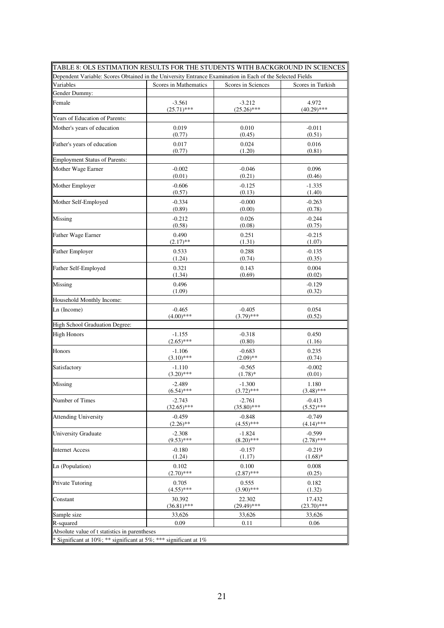| TABLE 8: OLS ESTIMATION RESULTS FOR THE STUDENTS WITH BACKGROUND IN SCIENCES                              |                           |                           |                          |
|-----------------------------------------------------------------------------------------------------------|---------------------------|---------------------------|--------------------------|
| Dependent Variable: Scores Obtained in the University Entrance Examination in Each of the Selected Fields |                           |                           |                          |
| Variables                                                                                                 | Scores in Mathematics     | Scores in Sciences        | Scores in Turkish        |
| Gender Dummy:                                                                                             |                           |                           |                          |
| Female                                                                                                    | $-3.561$                  | $-3.212$                  | 4.972                    |
|                                                                                                           | $(25.71)$ ***             | $(25.26)$ ***             | $(40.29)$ ***            |
| Years of Education of Parents:                                                                            |                           |                           |                          |
| Mother's years of education                                                                               | 0.019<br>(0.77)           | 0.010<br>(0.45)           | $-0.011$<br>(0.51)       |
|                                                                                                           |                           |                           |                          |
| Father's years of education                                                                               | 0.017<br>(0.77)           | 0.024<br>(1.20)           | 0.016<br>(0.81)          |
| Employment Status of Parents:                                                                             |                           |                           |                          |
| Mother Wage Earner                                                                                        | $-0.002$                  | $-0.046$                  | 0.096                    |
|                                                                                                           | (0.01)                    | (0.21)                    | (0.46)                   |
| Mother Employer                                                                                           | $-0.606$                  | $-0.125$                  | $-1.335$                 |
|                                                                                                           | (0.57)                    | (0.13)                    | (1.40)                   |
| Mother Self-Employed                                                                                      | $-0.334$                  | $-0.000$                  | $-0.263$                 |
|                                                                                                           | (0.89)                    | (0.00)                    | (0.78)                   |
| Missing                                                                                                   | $-0.212$                  | 0.026                     | $-0.244$                 |
|                                                                                                           | (0.58)                    | (0.08)                    | (0.75)                   |
| Father Wage Earner                                                                                        | 0.490<br>$(2.17)$ **      | 0.251<br>(1.31)           | $-0.215$<br>(1.07)       |
|                                                                                                           |                           |                           |                          |
| <b>Father Employer</b>                                                                                    | 0.533<br>(1.24)           | 0.288<br>(0.74)           | $-0.135$<br>(0.35)       |
| Father Self-Employed                                                                                      | 0.321                     | 0.143                     | 0.004                    |
|                                                                                                           | (1.34)                    | (0.69)                    | (0.02)                   |
| Missing                                                                                                   | 0.496                     |                           | $-0.129$                 |
|                                                                                                           | (1.09)                    |                           | (0.32)                   |
| Household Monthly Income:                                                                                 |                           |                           |                          |
| Ln (Income)                                                                                               | $-0.465$                  | $-0.405$                  | 0.054                    |
|                                                                                                           | $(4.00)$ ***              | $(3.79)$ ***              | (0.52)                   |
| High School Graduation Degree:                                                                            |                           |                           |                          |
| <b>High Honors</b>                                                                                        | $-1.155$<br>$(2.65)$ ***  | $-0.318$<br>(0.80)        | 0.450<br>(1.16)          |
| Honors                                                                                                    | $-1.106$                  | $-0.683$                  | 0.235                    |
|                                                                                                           | $(3.10)$ ***              | $(2.09)$ **               | (0.74)                   |
| Satisfactory                                                                                              | $-1.110$                  | $-0.565$                  | $-0.002$                 |
|                                                                                                           | $(3.20)$ ***              | $(1.78)$ *                | (0.01)                   |
| Missing                                                                                                   | $-2.489$                  | $-1.300$                  | 1.180                    |
|                                                                                                           | $(6.54)$ ***              | $(3.72)$ ***              | $(3.48)$ ***             |
| Number of Times                                                                                           | $-2.743$<br>$(32.65)$ *** | $-2.761$<br>$(35.80)$ *** | $-0.413$<br>$(5.52)$ *** |
| Attending University                                                                                      | $-0.459$                  | $-0.848$                  | $-0.749$                 |
|                                                                                                           | $(2.26)$ **               | $(4.55)$ ***              | $(4.14)$ ***             |
| University Graduate                                                                                       | $-2.308$                  | $-1.824$                  | $-0.599$                 |
|                                                                                                           | $(9.53)$ ***              | $(8.20)$ ***              | $(2.78)$ ***             |
| <b>Internet Access</b>                                                                                    | -0.180<br>(1.24)          | $-0.157$<br>(1.17)        | $-0.219$<br>$(1.68)$ *   |
| Ln (Population)                                                                                           | 0.102                     | 0.100                     | 0.008                    |
|                                                                                                           | $(2.70)$ ***              | $(2.87)$ ***              | (0.25)                   |
| Private Tutoring                                                                                          | 0.705                     | 0.555                     | 0.182                    |
|                                                                                                           | $(4.55)$ ***              | $(3.90)$ ***              | (1.32)                   |
| Constant                                                                                                  | 30.392                    | 22.302                    | 17.432                   |
|                                                                                                           | $(36.81)$ ***             | $(29.49)$ ***             | $(23.70)$ ***            |
| Sample size<br>R-squared                                                                                  | 33,626<br>0.09            | 33,626<br>0.11            | 33,626<br>0.06           |
| Absolute value of t statistics in parentheses                                                             |                           |                           |                          |
| * Significant at 10%; ** significant at 5%; *** significant at 1%                                         |                           |                           |                          |
|                                                                                                           |                           |                           |                          |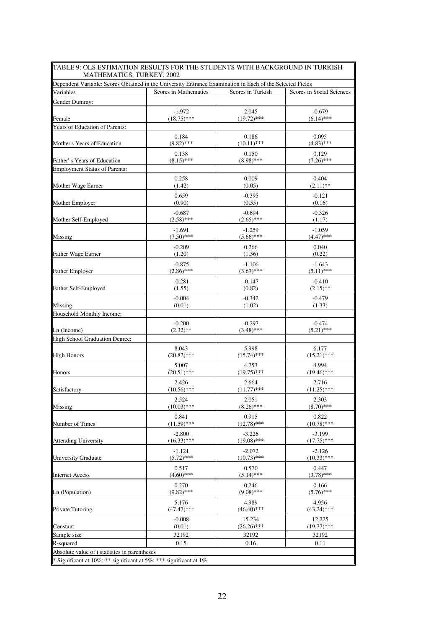| TABLE 9: OLS ESTIMATION RESULTS FOR THE STUDENTS WITH BACKGROUND IN TURKISH-<br>MATHEMATICS, TURKEY, 2002 |                       |                   |                           |  |
|-----------------------------------------------------------------------------------------------------------|-----------------------|-------------------|---------------------------|--|
| Dependent Variable: Scores Obtained in the University Entrance Examination in Each of the Selected Fields |                       |                   |                           |  |
| Variables                                                                                                 | Scores in Mathematics | Scores in Turkish | Scores in Social Sciences |  |
| Gender Dummy:                                                                                             |                       |                   |                           |  |
|                                                                                                           | $-1.972$              | 2.045             | $-0.679$                  |  |
| Female                                                                                                    | $(18.75)$ ***         | $(19.72)$ ***     | $(6.14)$ ***              |  |
| Years of Education of Parents:                                                                            |                       |                   |                           |  |
|                                                                                                           | 0.184                 | 0.186             | 0.095                     |  |
| Mother's Years of Education                                                                               | $(9.82)$ ***          | $(10.11)$ ***     | $(4.83)$ ***              |  |
|                                                                                                           | 0.138                 | 0.150             | 0.129                     |  |
| Father's Years of Education                                                                               | $(8.15)$ ***          | $(8.98)$ ***      | $(7.26)$ ***              |  |
| <b>Employment Status of Parents:</b>                                                                      |                       |                   |                           |  |
|                                                                                                           | 0.258                 | 0.009             | 0.404                     |  |
| Mother Wage Earner                                                                                        | (1.42)                | (0.05)            | $(2.11)$ **               |  |
|                                                                                                           | 0.659                 | $-0.395$          | $-0.121$                  |  |
| Mother Employer                                                                                           | (0.90)                | (0.55)            | (0.16)                    |  |
|                                                                                                           | $-0.687$              | $-0.694$          | $-0.326$                  |  |
| Mother Self-Employed                                                                                      | $(2.58)$ ***          | $(2.65)$ ***      | (1.17)                    |  |
|                                                                                                           | $-1.691$              | $-1.259$          | $-1.059$                  |  |
| Missing                                                                                                   | $(7.50)$ ***          | $(5.66)$ ***      | $(4.47)$ ***              |  |
|                                                                                                           | $-0.209$              | 0.266             | 0.040                     |  |
| <b>Father Wage Earner</b>                                                                                 | (1.20)                | (1.56)            | (0.22)                    |  |
|                                                                                                           | $-0.875$              | $-1.106$          | $-1.643$                  |  |
| <b>Father Employer</b>                                                                                    | $(2.86)$ ***          | $(3.67)$ ***      | $(5.11)$ ***              |  |
|                                                                                                           | $-0.281$              | $-0.147$          | $-0.410$                  |  |
| Father Self-Employed                                                                                      | (1.55)                | (0.82)            | $(2.15)$ **               |  |
|                                                                                                           | $-0.004$              | $-0.342$          | $-0.479$                  |  |
| Missing                                                                                                   | (0.01)                | (1.02)            | (1.33)                    |  |
| Household Monthly Income:                                                                                 |                       |                   |                           |  |
|                                                                                                           | $-0.200$              | $-0.297$          | $-0.474$                  |  |
| Ln (Income)                                                                                               | $(2.32)$ **           | $(3.48)$ ***      | $(5.21)$ ***              |  |
| High School Graduation Degree:                                                                            |                       |                   |                           |  |
|                                                                                                           | 8.043                 | 5.998             | 6.177                     |  |
| <b>High Honors</b>                                                                                        | $(20.82)$ ***         | $(15.74)$ ***     | $(15.21)$ ***             |  |
|                                                                                                           | 5.007                 | 4.753             | 4.994                     |  |
| Honors                                                                                                    | $(20.51)$ ***         | $(19.75)$ ***     | $(19.46)$ ***             |  |
|                                                                                                           | 2.426                 | 2.664             | 2.716                     |  |
| Satisfactory                                                                                              | $(10.56)$ ***         | $(11.77)$ ***     | $(11.25)$ ***             |  |
|                                                                                                           | 2.524                 | 2.051             | 2.303                     |  |
| Missing                                                                                                   | $(10.03)$ ***         | $(8.26)$ ***      | $(8.70)$ ***              |  |
|                                                                                                           | 0.841                 | 0.915             | 0.822                     |  |
| Number of Times                                                                                           | $(11.59)$ ***         | $(12.78)$ ***     | $(10.78)$ ***             |  |
|                                                                                                           | $-2.800$              | $-3.226$          | $-3.199$                  |  |
| <b>Attending University</b>                                                                               | $(16.33)$ ***         | $(19.08)$ ***     | $(17.75)$ ***             |  |
|                                                                                                           | $-1.121$              | $-2.072$          | $-2.126$                  |  |
| <b>University Graduate</b>                                                                                | $(5.72)$ ***          | $(10.73)$ ***     | $(10.33)$ ***             |  |
|                                                                                                           | 0.517                 | 0.570             | 0.447                     |  |
| <b>Internet Access</b>                                                                                    | $(4.60)$ ***          | $(5.14)$ ***      | $(3.78)$ ***              |  |
|                                                                                                           | 0.270                 | 0.246             | 0.166                     |  |
| Ln (Population)                                                                                           | $(9.82)$ ***          | $(9.08)$ ***      | $(5.76)$ ***              |  |
|                                                                                                           | 5.176                 | 4.989             | 4.956                     |  |
| <b>Private Tutoring</b>                                                                                   | $(47.47)$ ***         | $(46.40)$ ***     | $(43.24)$ ***             |  |
|                                                                                                           | $-0.008$              | 15.234            | 12.225                    |  |
| Constant                                                                                                  | (0.01)                | $(26.26)$ ***     | $(19.77)$ ***             |  |
| Sample size                                                                                               | 32192                 | 32192             | 32192                     |  |
| R-squared                                                                                                 | 0.15                  | 0.16              | 0.11                      |  |
| Absolute value of t statistics in parentheses                                                             |                       |                   |                           |  |
| * Significant at 10%; ** significant at 5%; *** significant at 1%                                         |                       |                   |                           |  |
|                                                                                                           |                       |                   |                           |  |